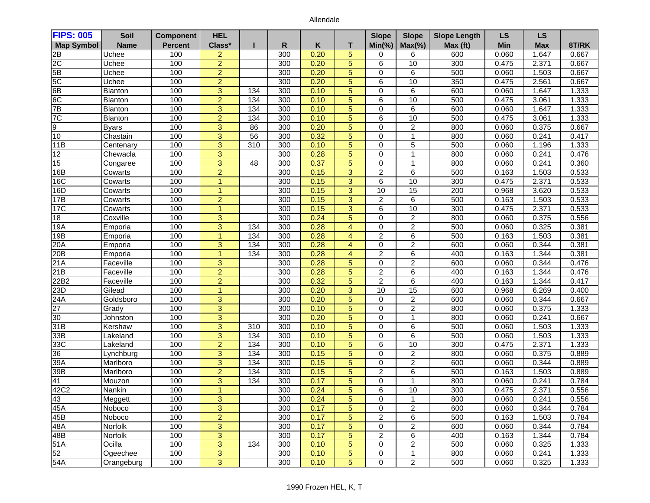## Allendale

| <b>FIPS: 005</b>  | Soil         | <b>Component</b> | <b>HEL</b>     |                  |     |      |                | <b>Slope</b>   | <b>Slope</b>         | <b>Slope Length</b> | <b>LS</b> | <b>LS</b>  |       |
|-------------------|--------------|------------------|----------------|------------------|-----|------|----------------|----------------|----------------------|---------------------|-----------|------------|-------|
| <b>Map Symbol</b> | <b>Name</b>  | <b>Percent</b>   | Class*         |                  | R   | Κ    | т              | $Min(\% )$     | $Max(\% )$           | Max (ft)            | Min       | <b>Max</b> | 8T/RK |
| 2B                | Uchee        | 100              | $\overline{2}$ |                  | 300 | 0.20 | 5              | $\Omega$       | 6                    | 600                 | 0.060     | 1.647      | 0.667 |
| 2C                | Uchee        | 100              | $\overline{2}$ |                  | 300 | 0.20 | $\overline{5}$ | 6              | 10                   | 300                 | 0.475     | 2.371      | 0.667 |
| 5B                | Uchee        | 100              | $\overline{2}$ |                  | 300 | 0.20 | 5              | $\Omega$       | 6                    | 500                 | 0.060     | 1.503      | 0.667 |
| 5C                | Uchee        | 100              | $\overline{2}$ |                  | 300 | 0.20 | 5              | 6              | $\overline{10}$      | 350                 | 0.475     | 2.561      | 0.667 |
| 6B                | Blanton      | 100              | 3              | 134              | 300 | 0.10 | 5              | 0              | 6                    | 600                 | 0.060     | 1.647      | 1.333 |
| 6C                | Blanton      | 100              | $\overline{2}$ | 134              | 300 | 0.10 | 5              | 6              | 10                   | 500                 | 0.475     | 3.061      | 1.333 |
| 7B                | Blanton      | 100              | 3              | 134              | 300 | 0.10 | 5              | $\Omega$       | 6                    | 600                 | 0.060     | 1.647      | 1.333 |
| 7C                | Blanton      | 100              | $\overline{2}$ | 134              | 300 | 0.10 | 5              | 6              | 10                   | 500                 | 0.475     | 3.061      | 1.333 |
| 9                 | <b>Byars</b> | 100              | 3              | 86               | 300 | 0.20 | 5              | $\Omega$       | 2                    | 800                 | 0.060     | 0.375      | 0.667 |
| 10                | Chastain     | 100              | 3              | 56               | 300 | 0.32 | 5              | $\Omega$       | 1                    | 800                 | 0.060     | 0.241      | 0.417 |
| 11B               | Centenary    | 100              | $\overline{3}$ | 310              | 300 | 0.10 | 5              | $\Omega$       | 5                    | 500                 | 0.060     | 1.196      | 1.333 |
| 12                | Chewacla     | 100              | 3              |                  | 300 | 0.28 | 5              | $\Omega$       | $\blacktriangleleft$ | 800                 | 0.060     | 0.241      | 0.476 |
| $\overline{15}$   | Congaree     | 100              | $\overline{3}$ | 48               | 300 | 0.37 | $\overline{5}$ | $\Omega$       | $\mathbf{1}$         | 800                 | 0.060     | 0.241      | 0.360 |
| 16B               | Cowarts      | 100              | $\overline{2}$ |                  | 300 | 0.15 | 3              | $\overline{2}$ | 6                    | 500                 | 0.163     | 1.503      | 0.533 |
| 16C               | Cowarts      | 100              | $\overline{1}$ |                  | 300 | 0.15 | 3              | 6              | 10                   | 300                 | 0.475     | 2.371      | 0.533 |
| 16D               | Cowarts      | 100              | $\mathbf{1}$   |                  | 300 | 0.15 | $\overline{3}$ | 10             | $\overline{15}$      | $\overline{200}$    | 0.968     | 3.620      | 0.533 |
| 17B               | Cowarts      | 100              | $\overline{2}$ |                  | 300 | 0.15 | 3              | $\overline{c}$ | 6                    | 500                 | 0.163     | 1.503      | 0.533 |
| 17C               | Cowarts      | 100              | $\mathbf{1}$   |                  | 300 | 0.15 | 3              | 6              | 10                   | 300                 | 0.475     | 2.371      | 0.533 |
| 18                | Coxville     | 100              | 3              |                  | 300 | 0.24 | 5              | $\Omega$       | $\overline{c}$       | 800                 | 0.060     | 0.375      | 0.556 |
| 19A               | Emporia      | 100              | 3              | 134              | 300 | 0.28 | $\overline{4}$ | 0              | 2                    | 500                 | 0.060     | 0.325      | 0.381 |
| 19B               | Emporia      | 100              | $\overline{1}$ | 134              | 300 | 0.28 | $\overline{4}$ | 2              | 6                    | 500                 | 0.163     | 1.503      | 0.381 |
| 20A               | Emporia      | 100              | 3              | 134              | 300 | 0.28 | $\overline{4}$ | $\mathbf 0$    | $\overline{2}$       | 600                 | 0.060     | 0.344      | 0.381 |
| 20B               | Emporia      | 100              | $\mathbf 1$    | 134              | 300 | 0.28 | $\overline{4}$ | 2              | 6                    | 400                 | 0.163     | 1.344      | 0.381 |
| 21A               | Faceville    | 100              | 3              |                  | 300 | 0.28 | 5              | $\Omega$       | $\overline{c}$       | 600                 | 0.060     | 0.344      | 0.476 |
| 21B               | Faceville    | 100              | $\overline{2}$ |                  | 300 | 0.28 | 5              | $\overline{2}$ | 6                    | 400                 | 0.163     | 1.344      | 0.476 |
| 22B2              | Faceville    | 100              | $\overline{2}$ |                  | 300 | 0.32 | 5              | $\overline{2}$ | 6                    | 400                 | 0.163     | 1.344      | 0.417 |
| 23D               | Gilead       | 100              | $\overline{1}$ |                  | 300 | 0.20 | $\overline{3}$ | 10             | 15                   | 600                 | 0.968     | 6.269      | 0.400 |
| 24A               | Goldsboro    | 100              | $\overline{3}$ |                  | 300 | 0.20 | $5\phantom{1}$ | $\Omega$       | 2                    | 600                 | 0.060     | 0.344      | 0.667 |
| 27                | Grady        | 100              | $\overline{3}$ |                  | 300 | 0.10 | 5              | $\Omega$       | $\overline{2}$       | 800                 | 0.060     | 0.375      | 1.333 |
| 30                | Johnston     | 100              | 3              |                  | 300 | 0.20 | 5              | $\Omega$       | 1                    | 800                 | 0.060     | 0.241      | 0.667 |
| 31B               | Kershaw      | 100              | $\overline{3}$ | 310              | 300 | 0.10 | 5              | $\Omega$       | 6                    | 500                 | 0.060     | 1.503      | 1.333 |
| 33B               | Lakeland     | 100              | $\overline{3}$ | 134              | 300 | 0.10 | 5              | $\Omega$       | 6                    | 500                 | 0.060     | 1.503      | 1.333 |
| 33C               | Lakeland     | 100              | $\overline{2}$ | 134              | 300 | 0.10 | $\overline{5}$ | 6              | 10                   | 300                 | 0.475     | 2.371      | 1.333 |
| 36                | Lynchburg    | 100              | $\overline{3}$ | 134              | 300 | 0.15 | 5              | $\Omega$       | 2                    | 800                 | 0.060     | 0.375      | 0.889 |
| 39A               | Marlboro     | 100              | 3              | 134              | 300 | 0.15 | 5              | $\Omega$       | $\overline{c}$       | 600                 | 0.060     | 0.344      | 0.889 |
| 39B               | Marlboro     | 100              | $\overline{2}$ | $\overline{134}$ | 300 | 0.15 | 5              | 2              | 6                    | 500                 | 0.163     | 1.503      | 0.889 |
| 41                | Mouzon       | 100              | 3              | 134              | 300 | 0.17 | 5              | $\Omega$       | $\mathbf{1}$         | 800                 | 0.060     | 0.241      | 0.784 |
| 42C2              | Nankin       | 100              | $\mathbf{1}$   |                  | 300 | 0.24 | $\overline{5}$ | 6              | $\overline{10}$      | 300                 | 0.475     | 2.371      | 0.556 |
| $\frac{43}{45A}$  | Meggett      | 100              | 3              |                  | 300 | 0.24 | 5              | 0              | $\mathbf{1}$         | 800                 | 0.060     | 0.241      | 0.556 |
|                   | Noboco       | 100              | 3              |                  | 300 | 0.17 | 5              | $\mathbf 0$    | $\overline{c}$       | 600                 | 0.060     | 0.344      | 0.784 |
| 45B               | Noboco       | 100              | $\overline{2}$ |                  | 300 | 0.17 | 5              | $\overline{2}$ | 6                    | 500                 | 0.163     | 1.503      | 0.784 |
| 48A               | Norfolk      | 100              | 3              |                  | 300 | 0.17 | 5              | 0              | $\overline{c}$       | 600                 | 0.060     | 0.344      | 0.784 |
| 48B               | Norfolk      | 100              | $\overline{3}$ |                  | 300 | 0.17 | $\sqrt{5}$     | $\overline{2}$ | 6                    | 400                 | 0.163     | 1.344      | 0.784 |
| 51A               | Ocilla       | 100              | $\overline{3}$ | 134              | 300 | 0.10 | $\overline{5}$ | 0              | $\boldsymbol{2}$     | 500                 | 0.060     | 0.325      | 1.333 |
| 52                | Ogeechee     | 100              | $\overline{3}$ |                  | 300 | 0.10 | 5 <sub>5</sub> | 0              | $\mathbf{1}$         | 800                 | 0.060     | 0.241      | 1.333 |
| 54A               | Orangeburg   | 100              | $\overline{3}$ |                  | 300 | 0.10 | $\overline{5}$ | 0              | $\overline{2}$       | 500                 | 0.060     | 0.325      | 1.333 |